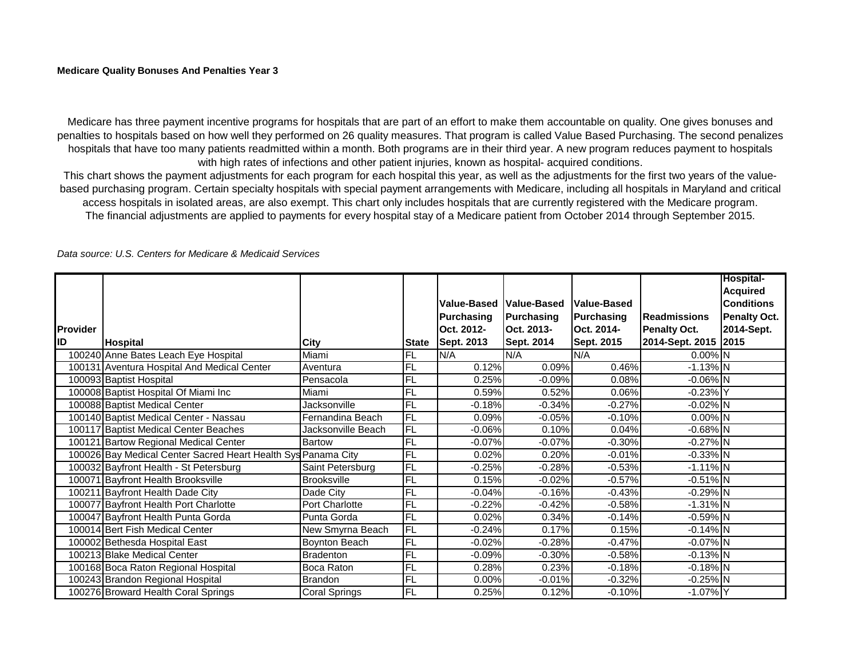Medicare has three payment incentive programs for hospitals that are part of an effort to make them accountable on quality. One gives bonuses and penalties to hospitals based on how well they performed on 26 quality measures. That program is called Value Based Purchasing. The second penalizes hospitals that have too many patients readmitted within a month. Both programs are in their third year. A new program reduces payment to hospitals with high rates of infections and other patient injuries, known as hospital- acquired conditions.

This chart shows the payment adjustments for each program for each hospital this year, as well as the adjustments for the first two years of the valuebased purchasing program. Certain specialty hospitals with special payment arrangements with Medicare, including all hospitals in Maryland and critical access hospitals in isolated areas, are also exempt. This chart only includes hospitals that are currently registered with the Medicare program. The financial adjustments are applied to payments for every hospital stay of a Medicare patient from October 2014 through September 2015.

|                 |                                                               |                    |              |             |                   |                    |                      | <b>Hospital-</b>    |
|-----------------|---------------------------------------------------------------|--------------------|--------------|-------------|-------------------|--------------------|----------------------|---------------------|
|                 |                                                               |                    |              |             |                   |                    |                      | <b>Acquired</b>     |
|                 |                                                               |                    |              | Value-Based | Value-Based       | <b>Value-Based</b> |                      | <b>Conditions</b>   |
|                 |                                                               |                    |              | Purchasing  | <b>Purchasing</b> | Purchasing         | <b>IReadmissions</b> | <b>Penalty Oct.</b> |
| <b>Provider</b> |                                                               |                    |              | Oct. 2012-  | Oct. 2013-        | Oct. 2014-         | <b>Penalty Oct.</b>  | 2014-Sept.          |
| ID              | Hospital                                                      | City               | <b>State</b> | Sept. 2013  | Sept. 2014        | Sept. 2015         | 2014-Sept. 2015 2015 |                     |
|                 | 100240 Anne Bates Leach Eye Hospital                          | Miami              | <b>FL</b>    | N/A         | N/A               | N/A                | 0.00% N              |                     |
|                 | 100131 Aventura Hospital And Medical Center                   | Aventura           | FL           | 0.12%       | 0.09%             | 0.46%              | $-1.13%$ N           |                     |
|                 | 100093 Baptist Hospital                                       | Pensacola          | <b>FL</b>    | 0.25%       | $-0.09%$          | 0.08%              | $-0.06\%$ N          |                     |
|                 | 100008 Baptist Hospital Of Miami Inc                          | Miami              | <b>FL</b>    | 0.59%       | 0.52%             | 0.06%              | $-0.23%$ Y           |                     |
|                 | 100088 Baptist Medical Center                                 | Jacksonville       | <b>FL</b>    | $-0.18%$    | $-0.34%$          | $-0.27%$           | $-0.02\%$ N          |                     |
|                 | 100140 Baptist Medical Center - Nassau                        | Fernandina Beach   | FL           | 0.09%       | $-0.05%$          | $-0.10%$           | $0.00\%$ N           |                     |
|                 | 100117 Baptist Medical Center Beaches                         | Jacksonville Beach | FL           | $-0.06%$    | 0.10%             | 0.04%              | $-0.68\%$ N          |                     |
|                 | 100121 Bartow Regional Medical Center                         | <b>Bartow</b>      | FL           | $-0.07%$    | $-0.07%$          | $-0.30%$           | $-0.27\%$ N          |                     |
|                 | 100026 Bay Medical Center Sacred Heart Health Sys Panama City |                    | FL           | 0.02%       | 0.20%             | $-0.01%$           | $-0.33%$ N           |                     |
|                 | 100032 Bayfront Health - St Petersburg                        | Saint Petersburg   | <b>FL</b>    | $-0.25%$    | $-0.28%$          | $-0.53%$           | $-1.11\%$ N          |                     |
|                 | 100071 Bayfront Health Brooksville                            | <b>Brooksville</b> | <b>FL</b>    | 0.15%       | $-0.02%$          | $-0.57%$           | $-0.51\%$ N          |                     |
|                 | 100211 Bayfront Health Dade City                              | Dade City          | <b>FL</b>    | $-0.04%$    | $-0.16%$          | $-0.43%$           | $-0.29%$ N           |                     |
|                 | 100077 Bayfront Health Port Charlotte                         | Port Charlotte     | <b>FL</b>    | $-0.22%$    | $-0.42%$          | $-0.58%$           | $-1.31\%$ N          |                     |
|                 | 100047 Bayfront Health Punta Gorda                            | Punta Gorda        | <b>FL</b>    | 0.02%       | 0.34%             | $-0.14%$           | $-0.59%$ N           |                     |
|                 | 100014 Bert Fish Medical Center                               | New Smyrna Beach   | FL           | $-0.24%$    | 0.17%             | 0.15%              | $-0.14%$ N           |                     |
|                 | 100002 Bethesda Hospital East                                 | Boynton Beach      | <b>FL</b>    | $-0.02%$    | $-0.28%$          | $-0.47%$           | $-0.07%$ N           |                     |
|                 | 100213 Blake Medical Center                                   | <b>Bradenton</b>   | <b>FL</b>    | $-0.09%$    | $-0.30%$          | $-0.58%$           | $-0.13%$ N           |                     |
|                 | 100168 Boca Raton Regional Hospital                           | Boca Raton         | <b>FL</b>    | 0.28%       | 0.23%             | $-0.18%$           | $-0.18%$ N           |                     |
|                 | 100243 Brandon Regional Hospital                              | <b>Brandon</b>     | <b>FL</b>    | 0.00%       | $-0.01%$          | $-0.32%$           | $-0.25%$ N           |                     |
|                 | 100276 Broward Health Coral Springs                           | Coral Springs      | FL           | 0.25%       | 0.12%             | $-0.10%$           | $-1.07\%$ Y          |                     |

*Data source: U.S. Centers for Medicare & Medicaid Services*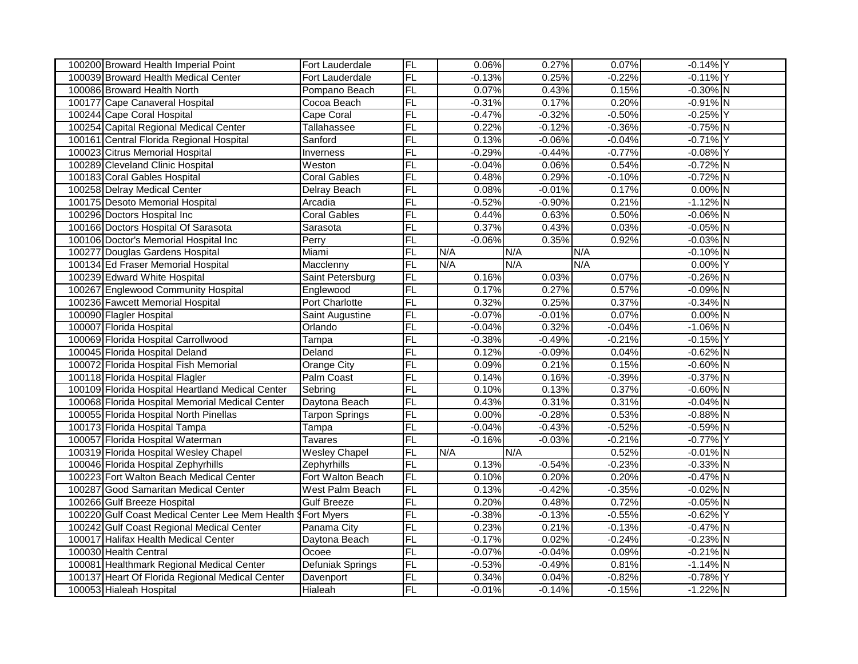| 100200 Broward Health Imperial Point             | Fort Lauderdale         | <b>FL</b>       | 0.06%    | 0.27%    | 0.07%    | $-0.14%$ Y  |  |
|--------------------------------------------------|-------------------------|-----------------|----------|----------|----------|-------------|--|
| 100039 Broward Health Medical Center             | Fort Lauderdale         | FL              | $-0.13%$ | 0.25%    | $-0.22%$ | $-0.11%$ Y  |  |
| 100086 Broward Health North                      | Pompano Beach           | FL              | 0.07%    | 0.43%    | 0.15%    | $-0.30\%$ N |  |
| 100177 Cape Canaveral Hospital                   | Cocoa Beach             | <b>FL</b>       | $-0.31%$ | 0.17%    | 0.20%    | $-0.91\%$ N |  |
| 100244 Cape Coral Hospital                       | Cape Coral              | <b>FL</b>       | $-0.47%$ | $-0.32%$ | $-0.50%$ | $-0.25%$ Y  |  |
| 100254 Capital Regional Medical Center           | Tallahassee             | FL              | 0.22%    | $-0.12%$ | $-0.36%$ | $-0.75%$ N  |  |
| 100161 Central Florida Regional Hospital         | Sanford                 | $\overline{FL}$ | 0.13%    | $-0.06%$ | $-0.04%$ | $-0.71\%$ Y |  |
| 100023 Citrus Memorial Hospital                  | Inverness               | FL              | $-0.29%$ | $-0.44%$ | $-0.77%$ | $-0.08\%$ Y |  |
| 100289 Cleveland Clinic Hospital                 | Weston                  | FL              | $-0.04%$ | 0.06%    | 0.54%    | $-0.72%$ N  |  |
| 100183 Coral Gables Hospital                     | <b>Coral Gables</b>     | FL              | 0.48%    | 0.29%    | $-0.10%$ | $-0.72%$ N  |  |
| 100258 Delray Medical Center                     | Delray Beach            | FL              | 0.08%    | $-0.01%$ | 0.17%    | $0.00\%$ N  |  |
| 100175 Desoto Memorial Hospital                  | Arcadia                 | FL              | $-0.52%$ | $-0.90%$ | 0.21%    | $-1.12%$ N  |  |
| 100296 Doctors Hospital Inc                      | <b>Coral Gables</b>     | FL              | 0.44%    | 0.63%    | 0.50%    | $-0.06\%$ N |  |
| 100166 Doctors Hospital Of Sarasota              | Sarasota                | FL              | 0.37%    | 0.43%    | 0.03%    | $-0.05%$ N  |  |
| 100106 Doctor's Memorial Hospital Inc            | Perry                   | FL              | $-0.06%$ | 0.35%    | 0.92%    | $-0.03%$ N  |  |
| 100277 Douglas Gardens Hospital                  | Miami                   | $\overline{FL}$ | N/A      | N/A      | N/A      | $-0.10\%$ N |  |
| 100134 Ed Fraser Memorial Hospital               | Macclenny               | FL              | N/A      | N/A      | N/A      | 0.00% Y     |  |
| 100239 Edward White Hospital                     | Saint Petersburg        | FL              | 0.16%    | 0.03%    | 0.07%    | $-0.26%$ N  |  |
| 100267 Englewood Community Hospital              | Englewood               | <b>FL</b>       | 0.17%    | 0.27%    | 0.57%    | $-0.09\%$ N |  |
| 100236 Fawcett Memorial Hospital                 | <b>Port Charlotte</b>   | <b>FL</b>       | 0.32%    | 0.25%    | 0.37%    | $-0.34\%$ N |  |
| 100090 Flagler Hospital                          | Saint Augustine         | FL              | $-0.07%$ | $-0.01%$ | 0.07%    | $0.00\%$ N  |  |
| 100007 Florida Hospital                          | Orlando                 | FL              | $-0.04%$ | 0.32%    | $-0.04%$ | $-1.06\%$ N |  |
| 100069 Florida Hospital Carrollwood              | Tampa                   | FL              | $-0.38%$ | $-0.49%$ | $-0.21%$ | $-0.15%$ Y  |  |
| 100045 Florida Hospital Deland                   | Deland                  | $\overline{FL}$ | 0.12%    | $-0.09%$ | 0.04%    | $-0.62%$ N  |  |
| 100072 Florida Hospital Fish Memorial            | <b>Orange City</b>      | $\overline{FL}$ | 0.09%    | 0.21%    | 0.15%    | $-0.60\%$ N |  |
| 100118 Florida Hospital Flagler                  | Palm Coast              | FL              | 0.14%    | 0.16%    | $-0.39%$ | $-0.37\%$ N |  |
| 100109 Florida Hospital Heartland Medical Center | Sebring                 | $\overline{FL}$ | 0.10%    | 0.13%    | 0.37%    | $-0.60\%$ N |  |
| 100068 Florida Hospital Memorial Medical Center  | Daytona Beach           | FL              | 0.43%    | 0.31%    | 0.31%    | $-0.04\%$ N |  |
| 100055 Florida Hospital North Pinellas           | <b>Tarpon Springs</b>   | FL              | 0.00%    | $-0.28%$ | 0.53%    | $-0.88\%$ N |  |
| 100173 Florida Hospital Tampa                    | Tampa                   | <b>FL</b>       | $-0.04%$ | $-0.43%$ | $-0.52%$ | $-0.59%$ N  |  |
| 100057 Florida Hospital Waterman                 | Tavares                 | FL              | $-0.16%$ | $-0.03%$ | $-0.21%$ | $-0.77%$ Y  |  |
| 100319 Florida Hospital Wesley Chapel            | <b>Wesley Chapel</b>    | $F$ L           | N/A      | N/A      | 0.52%    | $-0.01\%$ N |  |
| 100046 Florida Hospital Zephyrhills              | Zephyrhills             | FL              | 0.13%    | $-0.54%$ | $-0.23%$ | $-0.33\%$ N |  |
| 100223 Fort Walton Beach Medical Center          | Fort Walton Beach       | <b>FL</b>       | 0.10%    | 0.20%    | 0.20%    | $-0.47\%$ N |  |
| 100287 Good Samaritan Medical Center             | West Palm Beach         | <b>FL</b>       | 0.13%    | $-0.42%$ | $-0.35%$ | $-0.02%$ N  |  |
| 100266 Gulf Breeze Hospital                      | <b>Gulf Breeze</b>      | FL              | 0.20%    | 0.48%    | 0.72%    | $-0.05\%$ N |  |
| 100220 Gulf Coast Medical Center Lee Mem Health  | <b>Fort Myers</b>       | FL              | $-0.38%$ | $-0.13%$ | $-0.55%$ | $-0.62%$ Y  |  |
| 100242 Gulf Coast Regional Medical Center        | Panama City             | <b>FL</b>       | 0.23%    | 0.21%    | $-0.13%$ | $-0.47%$ N  |  |
| 100017 Halifax Health Medical Center             | Daytona Beach           | FL              | $-0.17%$ | 0.02%    | $-0.24%$ | $-0.23%$ N  |  |
| 100030 Health Central                            | Ocoee                   | FL              | $-0.07%$ | $-0.04%$ | 0.09%    | $-0.21%$ N  |  |
| 100081 Healthmark Regional Medical Center        | <b>Defuniak Springs</b> | FL              | $-0.53%$ | $-0.49%$ | 0.81%    | $-1.14%$ N  |  |
| 100137 Heart Of Florida Regional Medical Center  | Davenport               | FL              | 0.34%    | 0.04%    | $-0.82%$ | $-0.78%$ Y  |  |
| 100053 Hialeah Hospital                          | Hialeah                 | FL              | $-0.01%$ | $-0.14%$ | $-0.15%$ | $-1.22%$ N  |  |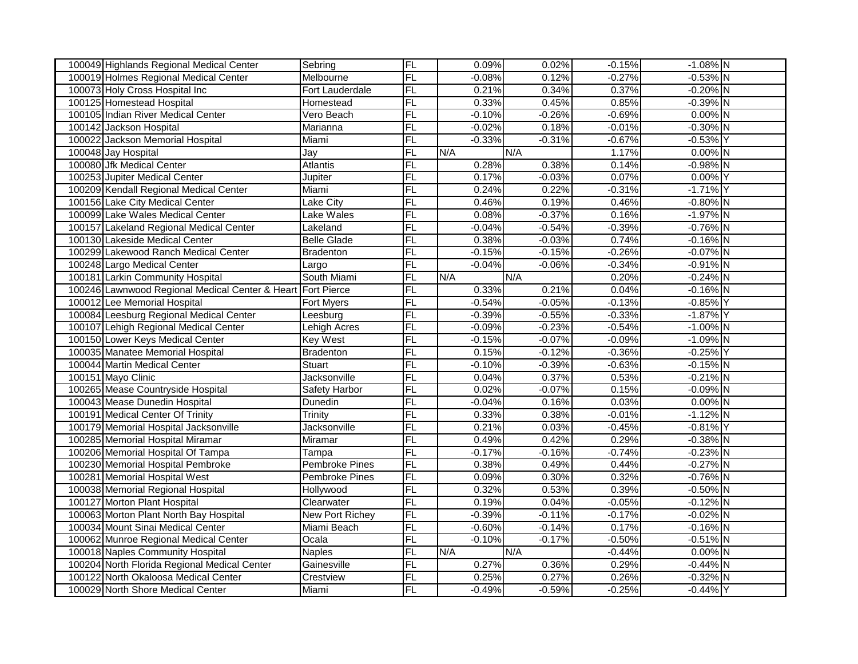| 100049 Highlands Regional Medical Center        | Sebring               | FL                       | 0.09%    | 0.02%    | $-0.15%$ | $-1.08\%$ N |  |
|-------------------------------------------------|-----------------------|--------------------------|----------|----------|----------|-------------|--|
| 100019 Holmes Regional Medical Center           | Melbourne             | FL                       | $-0.08%$ | 0.12%    | $-0.27%$ | $-0.53\%$ N |  |
| 100073 Holy Cross Hospital Inc                  | Fort Lauderdale       | FL                       | 0.21%    | 0.34%    | 0.37%    | $-0.20\%$ N |  |
| 100125 Homestead Hospital                       | Homestead             | <b>FL</b>                | 0.33%    | 0.45%    | 0.85%    | $-0.39%$ N  |  |
| 100105 Indian River Medical Center              | Vero Beach            | <b>FL</b>                | $-0.10%$ | $-0.26%$ | $-0.69%$ | $0.00\%$ N  |  |
| 100142 Jackson Hospital                         | Marianna              | FL                       | $-0.02%$ | 0.18%    | $-0.01%$ | $-0.30\%$ N |  |
| 100022 Jackson Memorial Hospital                | Miami                 | <b>FL</b>                | $-0.33%$ | $-0.31%$ | $-0.67%$ | $-0.53%$ Y  |  |
| 100048 Jay Hospital                             | Jay                   | <b>FL</b>                | N/A      | N/A      | 1.17%    | $0.00\%$ N  |  |
| 100080 Jfk Medical Center                       | <b>Atlantis</b>       | <b>FL</b>                | 0.28%    | 0.38%    | 0.14%    | $-0.98%$ N  |  |
| 100253 Jupiter Medical Center                   | Jupiter               | FL                       | 0.17%    | $-0.03%$ | 0.07%    | 0.00% Y     |  |
| 100209 Kendall Regional Medical Center          | Miami                 | <b>FL</b>                | 0.24%    | 0.22%    | $-0.31%$ | $-1.71\%$ Y |  |
| 100156 Lake City Medical Center                 | <b>Lake City</b>      | <b>FL</b>                | 0.46%    | 0.19%    | 0.46%    | $-0.80\%$ N |  |
| 100099 Lake Wales Medical Center                | Lake Wales            | FL                       | 0.08%    | $-0.37%$ | 0.16%    | $-1.97%$ N  |  |
| 100157 Lakeland Regional Medical Center         | Lakeland              | <b>FL</b>                | $-0.04%$ | $-0.54%$ | $-0.39%$ | $-0.76%$ N  |  |
| 100130 Lakeside Medical Center                  | <b>Belle Glade</b>    | <b>FL</b>                | 0.38%    | $-0.03%$ | 0.74%    | $-0.16\%$ N |  |
| 100299 Lakewood Ranch Medical Center            | <b>Bradenton</b>      | $\overline{FL}$          | $-0.15%$ | $-0.15%$ | $-0.26%$ | $-0.07%$ N  |  |
| 100248 Largo Medical Center                     | Largo                 | <b>FL</b>                | $-0.04%$ | $-0.06%$ | $-0.34%$ | $-0.91\%$ N |  |
| 100181 Larkin Community Hospital                | South Miami           | FL                       | N/A      | N/A      | 0.20%    | $-0.24%$ N  |  |
| 100246 Lawnwood Regional Medical Center & Heart | <b>Fort Pierce</b>    | <b>FL</b>                | 0.33%    | 0.21%    | 0.04%    | $-0.16\%$ N |  |
| 100012 Lee Memorial Hospital                    | Fort Myers            | <b>FL</b>                | $-0.54%$ | $-0.05%$ | $-0.13%$ | $-0.85%$ Y  |  |
| 100084 Leesburg Regional Medical Center         | Leesburg              | <b>FL</b>                | $-0.39%$ | $-0.55%$ | $-0.33%$ | $-1.87%$ Y  |  |
| 100107 Lehigh Regional Medical Center           | Lehigh Acres          | FL                       | $-0.09%$ | $-0.23%$ | $-0.54%$ | $-1.00\%$ N |  |
| 100150 Lower Keys Medical Center                | <b>Key West</b>       | <b>FL</b>                | $-0.15%$ | $-0.07%$ | $-0.09%$ | $-1.09%$ N  |  |
| 100035 Manatee Memorial Hospital                | <b>Bradenton</b>      | FL                       | 0.15%    | $-0.12%$ | $-0.36%$ | $-0.25%$ Y  |  |
| 100044 Martin Medical Center                    | <b>Stuart</b>         | FL                       | $-0.10%$ | $-0.39%$ | $-0.63%$ | $-0.15%$ N  |  |
| 100151 Mayo Clinic                              | Jacksonville          | FL                       | 0.04%    | 0.37%    | 0.53%    | $-0.21\%$ N |  |
| 100265 Mease Countryside Hospital               | <b>Safety Harbor</b>  | <b>FL</b>                | 0.02%    | $-0.07%$ | 0.15%    | $-0.09%$ N  |  |
| 100043 Mease Dunedin Hospital                   | Dunedin               | <b>FL</b>                | $-0.04%$ | 0.16%    | 0.03%    | $0.00\%$ N  |  |
| 100191 Medical Center Of Trinity                | Trinity               | FL                       | 0.33%    | 0.38%    | $-0.01%$ | $-1.12%$ N  |  |
| 100179 Memorial Hospital Jacksonville           | Jacksonville          | <b>FL</b>                | 0.21%    | 0.03%    | $-0.45%$ | $-0.81\%$ Y |  |
| 100285 Memorial Hospital Miramar                | Miramar               | $\overline{\mathsf{FL}}$ | 0.49%    | 0.42%    | 0.29%    | $-0.38\%$ N |  |
| 100206 Memorial Hospital Of Tampa               | Tampa                 | FL                       | $-0.17%$ | $-0.16%$ | $-0.74%$ | $-0.23%$ N  |  |
| 100230 Memorial Hospital Pembroke               | <b>Pembroke Pines</b> | FL                       | 0.38%    | 0.49%    | 0.44%    | $-0.27%$ N  |  |
| 100281 Memorial Hospital West                   | <b>Pembroke Pines</b> | <b>FL</b>                | 0.09%    | 0.30%    | 0.32%    | $-0.76\%$ N |  |
| 100038 Memorial Regional Hospital               | Hollywood             | FL                       | 0.32%    | 0.53%    | 0.39%    | $-0.50\%$ N |  |
| 100127 Morton Plant Hospital                    | Clearwater            | FL                       | 0.19%    | 0.04%    | $-0.05%$ | $-0.12%$ N  |  |
| 100063 Morton Plant North Bay Hospital          | New Port Richey       | FL                       | $-0.39%$ | $-0.11%$ | $-0.17%$ | $-0.02\%$ N |  |
| 100034 Mount Sinai Medical Center               | Miami Beach           | <b>FL</b>                | $-0.60%$ | $-0.14%$ | 0.17%    | $-0.16%$ N  |  |
| 100062 Munroe Regional Medical Center           | Ocala                 | FL                       | $-0.10%$ | $-0.17%$ | $-0.50%$ | $-0.51\%$ N |  |
| 100018 Naples Community Hospital                | <b>Naples</b>         | FL                       | N/A      | N/A      | $-0.44%$ | $0.00\%$ N  |  |
| 100204 North Florida Regional Medical Center    | Gainesville           | <b>FL</b>                | 0.27%    | 0.36%    | 0.29%    | $-0.44%$ N  |  |
| 100122 North Okaloosa Medical Center            | Crestview             | FL                       | 0.25%    | 0.27%    | 0.26%    | $-0.32%$ N  |  |
| 100029 North Shore Medical Center               | Miami                 | FL                       | $-0.49%$ | $-0.59%$ | $-0.25%$ | $-0.44%$ Y  |  |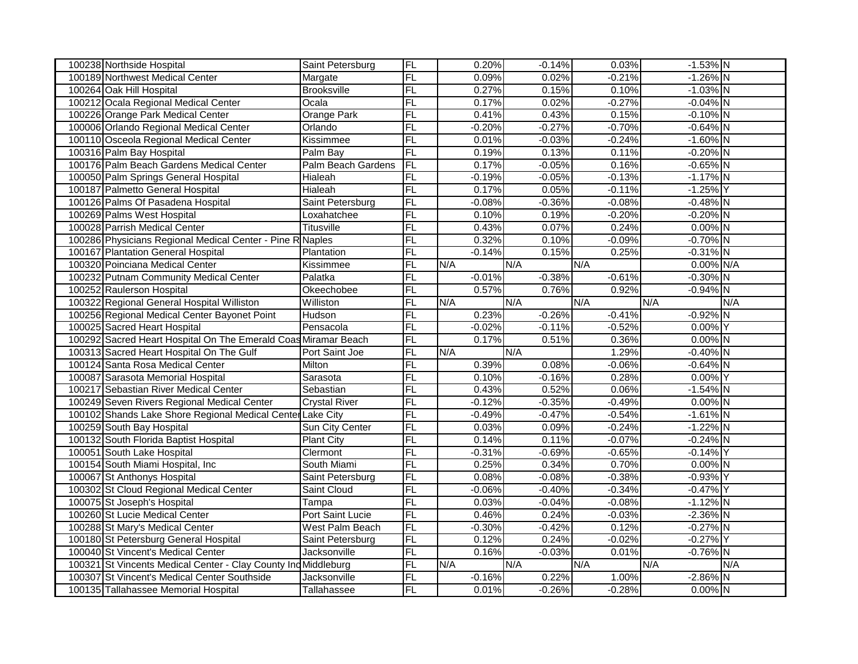| 100238 Northside Hospital                                      | Saint Petersburg     | FL              | 0.20%    | $-0.14%$ | 0.03%    | $-1.53\%$ N |     |
|----------------------------------------------------------------|----------------------|-----------------|----------|----------|----------|-------------|-----|
| 100189 Northwest Medical Center                                | Margate              | $\overline{FL}$ | 0.09%    | 0.02%    | $-0.21%$ | $-1.26\%$ N |     |
| 100264 Oak Hill Hospital                                       | <b>Brooksville</b>   | FL              | 0.27%    | 0.15%    | 0.10%    | $-1.03\%$ N |     |
| 100212 Ocala Regional Medical Center                           | Ocala                | FL              | 0.17%    | 0.02%    | $-0.27%$ | $-0.04\%$ N |     |
| 100226 Orange Park Medical Center                              | <b>Orange Park</b>   | $\overline{FL}$ | 0.41%    | 0.43%    | 0.15%    | $-0.10\%$ N |     |
| 100006 Orlando Regional Medical Center                         | Orlando              | FL              | $-0.20%$ | $-0.27%$ | $-0.70%$ | $-0.64%$ N  |     |
| 100110 Osceola Regional Medical Center                         | Kissimmee            | FL              | 0.01%    | $-0.03%$ | $-0.24%$ | $-1.60\%$ N |     |
| 100316 Palm Bay Hospital                                       | Palm Bay             | $\overline{FL}$ | 0.19%    | 0.13%    | 0.11%    | $-0.20\%$ N |     |
| 100176 Palm Beach Gardens Medical Center                       | Palm Beach Gardens   | $\overline{FL}$ | 0.17%    | $-0.05%$ | 0.16%    | $-0.65%$ N  |     |
| 100050 Palm Springs General Hospital                           | Hialeah              | FL              | $-0.19%$ | $-0.05%$ | $-0.13%$ | $-1.17\%$ N |     |
| 100187 Palmetto General Hospital                               | Hialeah              | $\overline{FL}$ | 0.17%    | 0.05%    | $-0.11%$ | $-1.25%$ Y  |     |
| 100126 Palms Of Pasadena Hospital                              | Saint Petersburg     | FL              | $-0.08%$ | $-0.36%$ | $-0.08%$ | $-0.48\%$ N |     |
| 100269 Palms West Hospital                                     | Loxahatchee          | FL              | 0.10%    | 0.19%    | $-0.20%$ | $-0.20\%$ N |     |
| 100028 Parrish Medical Center                                  | Titusville           | FL              | 0.43%    | 0.07%    | 0.24%    | $0.00\%$ N  |     |
| 100286 Physicians Regional Medical Center - Pine R Naples      |                      | FL              | 0.32%    | 0.10%    | $-0.09%$ | $-0.70\%$ N |     |
| 100167 Plantation General Hospital                             | Plantation           | FL              | $-0.14%$ | 0.15%    | 0.25%    | $-0.31\%$ N |     |
| 100320 Poinciana Medical Center                                | Kissimmee            | FL              | N/A      | N/A      | N/A      | 0.00% N/A   |     |
| 100232 Putnam Community Medical Center                         | Palatka              | FL              | $-0.01%$ | $-0.38%$ | $-0.61%$ | $-0.30\%$ N |     |
| 100252 Raulerson Hospital                                      | Okeechobee           | FL              | 0.57%    | 0.76%    | 0.92%    | $-0.94\%$ N |     |
| 100322 Regional General Hospital Williston                     | Williston            | FL              | N/A      | N/A      | N/A      | N/A         | N/A |
| 100256 Regional Medical Center Bayonet Point                   | Hudson               | $\overline{FL}$ | 0.23%    | $-0.26%$ | $-0.41%$ | $-0.92\%$ N |     |
| 100025 Sacred Heart Hospital                                   | Pensacola            | FL              | $-0.02%$ | $-0.11%$ | $-0.52%$ | 0.00% Y     |     |
| 100292 Sacred Heart Hospital On The Emerald Coas Miramar Beach |                      | FL              | 0.17%    | 0.51%    | 0.36%    | $0.00\%$ N  |     |
| 100313 Sacred Heart Hospital On The Gulf                       | Port Saint Joe       | FL              | N/A      | N/A      | 1.29%    | $-0.40\%$ N |     |
| 100124 Santa Rosa Medical Center                               | Milton               | $\overline{FL}$ | 0.39%    | 0.08%    | $-0.06%$ | $-0.64\%$ N |     |
| 100087 Sarasota Memorial Hospital                              | Sarasota             | FL              | 0.10%    | $-0.16%$ | 0.28%    | 0.00% Y     |     |
| 100217 Sebastian River Medical Center                          | Sebastian            | FL              | 0.43%    | 0.52%    | 0.06%    | $-1.54\%$ N |     |
| 100249 Seven Rivers Regional Medical Center                    | <b>Crystal River</b> | F <sub>L</sub>  | $-0.12%$ | $-0.35%$ | $-0.49%$ | 0.00% N     |     |
| 100102 Shands Lake Shore Regional Medical Center Lake City     |                      | FL              | $-0.49%$ | $-0.47%$ | $-0.54%$ | $-1.61\%$ N |     |
| 100259 South Bay Hospital                                      | Sun City Center      | FL              | 0.03%    | 0.09%    | $-0.24%$ | $-1.22%$ N  |     |
| 100132 South Florida Baptist Hospital                          | <b>Plant City</b>    | FL              | 0.14%    | 0.11%    | $-0.07%$ | $-0.24%$ N  |     |
| 100051 South Lake Hospital                                     | Clermont             | FL              | $-0.31%$ | $-0.69%$ | $-0.65%$ | $-0.14%$ Y  |     |
| 100154 South Miami Hospital, Inc.                              | South Miami          | $\overline{FL}$ | 0.25%    | 0.34%    | 0.70%    | $0.00\%$ N  |     |
| 100067 St Anthonys Hospital                                    | Saint Petersburg     | FL              | 0.08%    | $-0.08%$ | $-0.38%$ | $-0.93%$ Y  |     |
| 100302 St Cloud Regional Medical Center                        | Saint Cloud          | FL              | $-0.06%$ | $-0.40%$ | $-0.34%$ | $-0.47%$ Y  |     |
| 100075 St Joseph's Hospital                                    | Tampa                | FL              | 0.03%    | $-0.04%$ | $-0.08%$ | $-1.12%$ N  |     |
| 100260 St Lucie Medical Center                                 | Port Saint Lucie     | FL              | 0.46%    | 0.24%    | $-0.03%$ | $-2.36\%$ N |     |
| 100288 St Mary's Medical Center                                | West Palm Beach      | FL              | $-0.30%$ | $-0.42%$ | 0.12%    | $-0.27%$ N  |     |
| 100180 St Petersburg General Hospital                          | Saint Petersburg     | FL              | 0.12%    | 0.24%    | $-0.02%$ | $-0.27%$ Y  |     |
| 100040 St Vincent's Medical Center                             | Jacksonville         | FL              | 0.16%    | $-0.03%$ | 0.01%    | $-0.76%$ N  |     |
| 100321 St Vincents Medical Center - Clay County Ind Middleburg |                      | FL              | N/A      | N/A      | N/A      | N/A         | N/A |
| 100307 St Vincent's Medical Center Southside                   | Jacksonville         | FL              | $-0.16%$ | 0.22%    | 1.00%    | $-2.86\%$ N |     |
| 100135 Tallahassee Memorial Hospital                           | Tallahassee          | FL              | 0.01%    | $-0.26%$ | $-0.28%$ | $0.00\%$ N  |     |